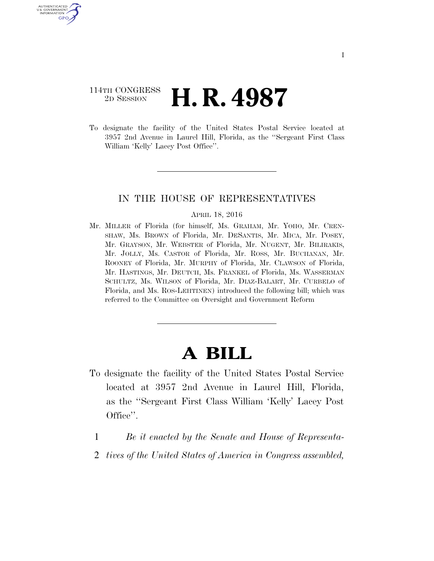### 114TH CONGRESS <sup>2D SESSION</sup> **H. R. 4987**

U.S. GOVERNMENT GPO

> To designate the facility of the United States Postal Service located at 3957 2nd Avenue in Laurel Hill, Florida, as the ''Sergeant First Class William 'Kelly' Lacey Post Office''.

#### IN THE HOUSE OF REPRESENTATIVES

#### APRIL 18, 2016

Mr. MILLER of Florida (for himself, Ms. GRAHAM, Mr. YOHO, Mr. CREN-SHAW, Ms. BROWN of Florida, Mr. DESANTIS, Mr. MICA, Mr. POSEY, Mr. GRAYSON, Mr. WEBSTER of Florida, Mr. NUGENT, Mr. BILIRAKIS, Mr. JOLLY, Ms. CASTOR of Florida, Mr. ROSS, Mr. BUCHANAN, Mr. ROONEY of Florida, Mr. MURPHY of Florida, Mr. CLAWSON of Florida, Mr. HASTINGS, Mr. DEUTCH, Ms. FRANKEL of Florida, Ms. WASSERMAN SCHULTZ, Ms. WILSON of Florida, Mr. DIAZ-BALART, Mr. CURBELO of Florida, and Ms. ROS-LEHTINEN) introduced the following bill; which was referred to the Committee on Oversight and Government Reform

# **A BILL**

- To designate the facility of the United States Postal Service located at 3957 2nd Avenue in Laurel Hill, Florida, as the ''Sergeant First Class William 'Kelly' Lacey Post Office''.
	- 1 *Be it enacted by the Senate and House of Representa-*
	- 2 *tives of the United States of America in Congress assembled,*